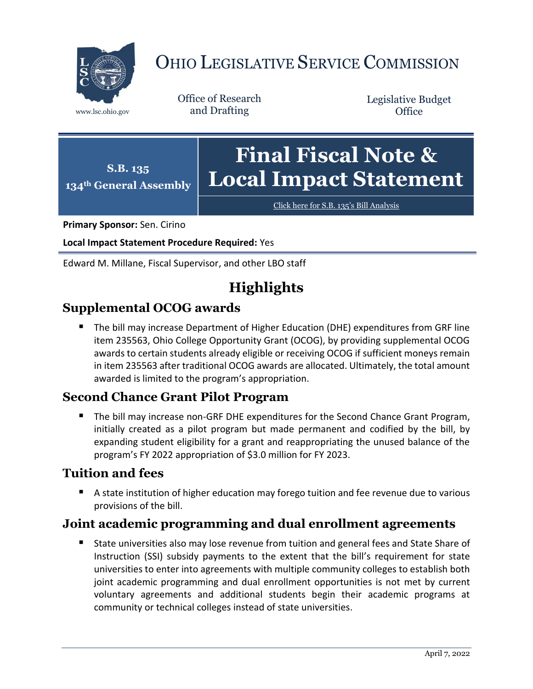

# OHIO LEGISLATIVE SERVICE COMMISSION

Office of Research www.lsc.ohio.gov and Drafting

Legislative Budget **Office** 

#### **S.B. 135 134th General Assembly Final Fiscal Note & Local Impact Statement**

[Click here for S.B. 135](https://www.legislature.ohio.gov/legislation/legislation-documents?id=GA134-SB-135)'s Bill Analysis

**Primary Sponsor:** Sen. Cirino

**Local Impact Statement Procedure Required:** Yes

Edward M. Millane, Fiscal Supervisor, and other LBO staff

# **Highlights**

# **Supplemental OCOG awards**

 The bill may increase Department of Higher Education (DHE) expenditures from GRF line item 235563, Ohio College Opportunity Grant (OCOG), by providing supplemental OCOG awards to certain students already eligible or receiving OCOG if sufficient moneys remain in item 235563 after traditional OCOG awards are allocated. Ultimately, the total amount awarded is limited to the program's appropriation.

# **Second Chance Grant Pilot Program**

 The bill may increase non-GRF DHE expenditures for the Second Chance Grant Program, initially created as a pilot program but made permanent and codified by the bill, by expanding student eligibility for a grant and reappropriating the unused balance of the program's FY 2022 appropriation of \$3.0 million for FY 2023.

# **Tuition and fees**

 A state institution of higher education may forego tuition and fee revenue due to various provisions of the bill.

# **Joint academic programming and dual enrollment agreements**

 State universities also may lose revenue from tuition and general fees and State Share of Instruction (SSI) subsidy payments to the extent that the bill's requirement for state universities to enter into agreements with multiple community colleges to establish both joint academic programming and dual enrollment opportunities is not met by current voluntary agreements and additional students begin their academic programs at community or technical colleges instead of state universities.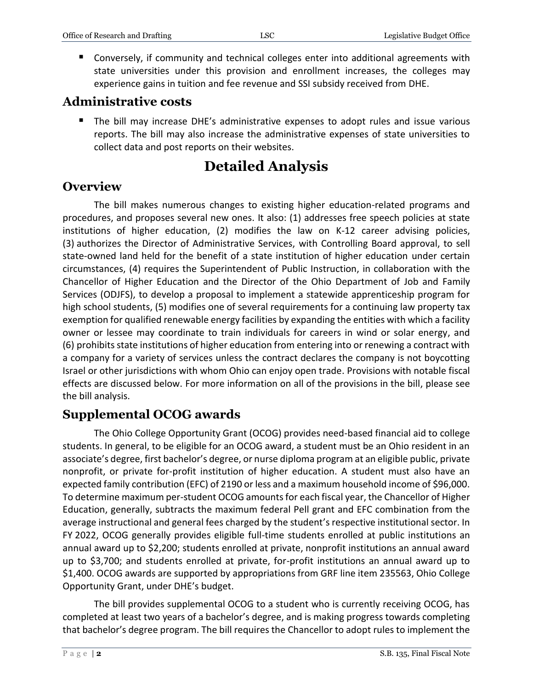■ Conversely, if community and technical colleges enter into additional agreements with state universities under this provision and enrollment increases, the colleges may experience gains in tuition and fee revenue and SSI subsidy received from DHE.

### **Administrative costs**

 The bill may increase DHE's administrative expenses to adopt rules and issue various reports. The bill may also increase the administrative expenses of state universities to collect data and post reports on their websites.

# **Detailed Analysis**

# **Overview**

The bill makes numerous changes to existing higher education-related programs and procedures, and proposes several new ones. It also: (1) addresses free speech policies at state institutions of higher education, (2) modifies the law on K-12 career advising policies, (3) authorizes the Director of Administrative Services, with Controlling Board approval, to sell state-owned land held for the benefit of a state institution of higher education under certain circumstances, (4) requires the Superintendent of Public Instruction, in collaboration with the Chancellor of Higher Education and the Director of the Ohio Department of Job and Family Services (ODJFS), to develop a proposal to implement a statewide apprenticeship program for high school students, (5) modifies one of several requirements for a continuing law property tax exemption for qualified renewable energy facilities by expanding the entities with which a facility owner or lessee may coordinate to train individuals for careers in wind or solar energy, and (6) prohibits state institutions of higher education from entering into or renewing a contract with a company for a variety of services unless the contract declares the company is not boycotting Israel or other jurisdictions with whom Ohio can enjoy open trade. Provisions with notable fiscal effects are discussed below. For more information on all of the provisions in the bill, please see the bill analysis.

# **Supplemental OCOG awards**

The Ohio College Opportunity Grant (OCOG) provides need-based financial aid to college students. In general, to be eligible for an OCOG award, a student must be an Ohio resident in an associate's degree, first bachelor's degree, or nurse diploma program at an eligible public, private nonprofit, or private for-profit institution of higher education. A student must also have an expected family contribution (EFC) of 2190 or less and a maximum household income of \$96,000. To determine maximum per-student OCOG amounts for each fiscal year, the Chancellor of Higher Education, generally, subtracts the maximum federal Pell grant and EFC combination from the average instructional and general fees charged by the student's respective institutional sector. In FY 2022, OCOG generally provides eligible full-time students enrolled at public institutions an annual award up to \$2,200; students enrolled at private, nonprofit institutions an annual award up to \$3,700; and students enrolled at private, for-profit institutions an annual award up to \$1,400. OCOG awards are supported by appropriations from GRF line item 235563, Ohio College Opportunity Grant, under DHE's budget.

The bill provides supplemental OCOG to a student who is currently receiving OCOG, has completed at least two years of a bachelor's degree, and is making progress towards completing that bachelor's degree program. The bill requires the Chancellor to adopt rules to implement the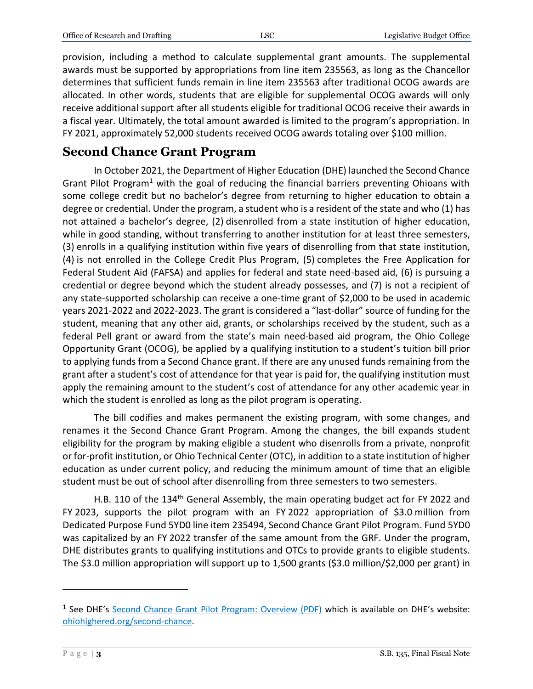provision, including a method to calculate supplemental grant amounts. The supplemental awards must be supported by appropriations from line item 235563, as long as the Chancellor determines that sufficient funds remain in line item 235563 after traditional OCOG awards are allocated. In other words, students that are eligible for supplemental OCOG awards will only receive additional support after all students eligible for traditional OCOG receive their awards in a fiscal year. Ultimately, the total amount awarded is limited to the program's appropriation. In FY 2021, approximately 52,000 students received OCOG awards totaling over \$100 million.

## **Second Chance Grant Program**

In October 2021, the Department of Higher Education (DHE) launched the Second Chance Grant Pilot Program<sup>1</sup> with the goal of reducing the financial barriers preventing Ohioans with some college credit but no bachelor's degree from returning to higher education to obtain a degree or credential. Under the program, a student who is a resident of the state and who (1) has not attained a bachelor's degree, (2) disenrolled from a state institution of higher education, while in good standing, without transferring to another institution for at least three semesters, (3) enrolls in a qualifying institution within five years of disenrolling from that state institution, (4) is not enrolled in the College Credit Plus Program, (5) completes the Free Application for Federal Student Aid (FAFSA) and applies for federal and state need-based aid, (6) is pursuing a credential or degree beyond which the student already possesses, and (7) is not a recipient of any state-supported scholarship can receive a one-time grant of \$2,000 to be used in academic years 2021-2022 and 2022-2023. The grant is considered a "last-dollar" source of funding for the student, meaning that any other aid, grants, or scholarships received by the student, such as a federal Pell grant or award from the state's main need-based aid program, the Ohio College Opportunity Grant (OCOG), be applied by a qualifying institution to a student's tuition bill prior to applying funds from a Second Chance grant. If there are any unused funds remaining from the grant after a student's cost of attendance for that year is paid for, the qualifying institution must apply the remaining amount to the student's cost of attendance for any other academic year in which the student is enrolled as long as the pilot program is operating.

The bill codifies and makes permanent the existing program, with some changes, and renames it the Second Chance Grant Program. Among the changes, the bill expands student eligibility for the program by making eligible a student who disenrolls from a private, nonprofit or for-profit institution, or Ohio Technical Center (OTC), in addition to a state institution of higher education as under current policy, and reducing the minimum amount of time that an eligible student must be out of school after disenrolling from three semesters to two semesters.

H.B. 110 of the 134<sup>th</sup> General Assembly, the main operating budget act for FY 2022 and FY 2023, supports the pilot program with an FY 2022 appropriation of \$3.0 million from Dedicated Purpose Fund 5YD0 line item 235494, Second Chance Grant Pilot Program. Fund 5YD0 was capitalized by an FY 2022 transfer of the same amount from the GRF. Under the program, DHE distributes grants to qualifying institutions and OTCs to provide grants to eligible students. The \$3.0 million appropriation will support up to 1,500 grants (\$3.0 million/\$2,000 per grant) in

 $\overline{a}$ 

<sup>&</sup>lt;sup>1</sup> See DHE's [Second Chance Grant Pilot Program: Overview \(PDF\)](https://www.ohiohighered.org/sites/default/files/uploads/second-chance/second-chance-pilot-program_030122.pdf) which is available on DHE's website: [ohiohighered.org/second-chance.](https://www.ohiohighered.org/second-chance)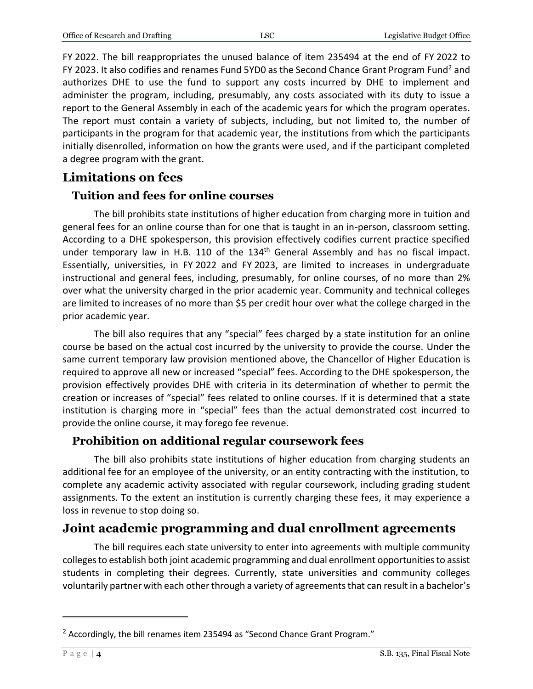FY 2022. The bill reappropriates the unused balance of item 235494 at the end of FY 2022 to FY 2023. It also codifies and renames Fund 5YD0 as the Second Chance Grant Program Fund<sup>2</sup> and authorizes DHE to use the fund to support any costs incurred by DHE to implement and administer the program, including, presumably, any costs associated with its duty to issue a report to the General Assembly in each of the academic years for which the program operates. The report must contain a variety of subjects, including, but not limited to, the number of participants in the program for that academic year, the institutions from which the participants initially disenrolled, information on how the grants were used, and if the participant completed a degree program with the grant.

### **Limitations on fees**

#### **Tuition and fees for online courses**

The bill prohibits state institutions of higher education from charging more in tuition and general fees for an online course than for one that is taught in an in-person, classroom setting. According to a DHE spokesperson, this provision effectively codifies current practice specified under temporary law in H.B. 110 of the 134<sup>th</sup> General Assembly and has no fiscal impact. Essentially, universities, in FY 2022 and FY 2023, are limited to increases in undergraduate instructional and general fees, including, presumably, for online courses, of no more than 2% over what the university charged in the prior academic year. Community and technical colleges are limited to increases of no more than \$5 per credit hour over what the college charged in the prior academic year.

The bill also requires that any "special" fees charged by a state institution for an online course be based on the actual cost incurred by the university to provide the course. Under the same current temporary law provision mentioned above, the Chancellor of Higher Education is required to approve all new or increased "special" fees. According to the DHE spokesperson, the provision effectively provides DHE with criteria in its determination of whether to permit the creation or increases of "special" fees related to online courses. If it is determined that a state institution is charging more in "special" fees than the actual demonstrated cost incurred to provide the online course, it may forego fee revenue.

#### **Prohibition on additional regular coursework fees**

The bill also prohibits state institutions of higher education from charging students an additional fee for an employee of the university, or an entity contracting with the institution, to complete any academic activity associated with regular coursework, including grading student assignments. To the extent an institution is currently charging these fees, it may experience a loss in revenue to stop doing so.

### **Joint academic programming and dual enrollment agreements**

The bill requires each state university to enter into agreements with multiple community colleges to establish both joint academic programming and dual enrollment opportunities to assist students in completing their degrees. Currently, state universities and community colleges voluntarily partner with each other through a variety of agreements that can result in a bachelor's

 $\overline{a}$ 

 $2$  Accordingly, the bill renames item 235494 as "Second Chance Grant Program."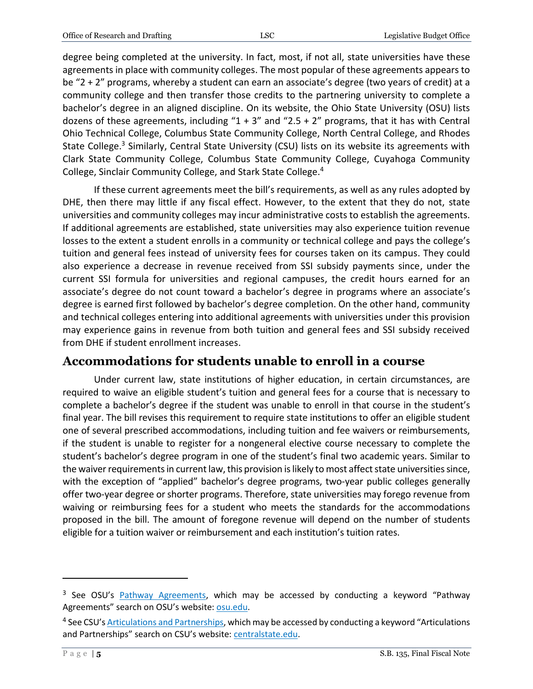degree being completed at the university. In fact, most, if not all, state universities have these agreements in place with community colleges. The most popular of these agreements appears to be "2 + 2" programs, whereby a student can earn an associate's degree (two years of credit) at a community college and then transfer those credits to the partnering university to complete a bachelor's degree in an aligned discipline. On its website, the Ohio State University (OSU) lists dozens of these agreements, including " $1 + 3$ " and " $2.5 + 2$ " programs, that it has with Central Ohio Technical College, Columbus State Community College, North Central College, and Rhodes State College.<sup>3</sup> Similarly, Central State University (CSU) lists on its website its agreements with Clark State Community College, Columbus State Community College, Cuyahoga Community College, Sinclair Community College, and Stark State College.<sup>4</sup>

If these current agreements meet the bill's requirements, as well as any rules adopted by DHE, then there may little if any fiscal effect. However, to the extent that they do not, state universities and community colleges may incur administrative costs to establish the agreements. If additional agreements are established, state universities may also experience tuition revenue losses to the extent a student enrolls in a community or technical college and pays the college's tuition and general fees instead of university fees for courses taken on its campus. They could also experience a decrease in revenue received from SSI subsidy payments since, under the current SSI formula for universities and regional campuses, the credit hours earned for an associate's degree do not count toward a bachelor's degree in programs where an associate's degree is earned first followed by bachelor's degree completion. On the other hand, community and technical colleges entering into additional agreements with universities under this provision may experience gains in revenue from both tuition and general fees and SSI subsidy received from DHE if student enrollment increases.

### **Accommodations for students unable to enroll in a course**

Under current law, state institutions of higher education, in certain circumstances, are required to waive an eligible student's tuition and general fees for a course that is necessary to complete a bachelor's degree if the student was unable to enroll in that course in the student's final year. The bill revises this requirement to require state institutions to offer an eligible student one of several prescribed accommodations, including tuition and fee waivers or reimbursements, if the student is unable to register for a nongeneral elective course necessary to complete the student's bachelor's degree program in one of the student's final two academic years. Similar to the waiver requirements in current law, this provision is likely to most affect state universities since, with the exception of "applied" bachelor's degree programs, two-year public colleges generally offer two-year degree or shorter programs. Therefore, state universities may forego revenue from waiving or reimbursing fees for a student who meets the standards for the accommodations proposed in the bill. The amount of foregone revenue will depend on the number of students eligible for a tuition waiver or reimbursement and each institution's tuition rates.

 $\overline{a}$ 

<sup>&</sup>lt;sup>3</sup> See OSU's **Pathway Agreements</u>, which may be accessed by conducting a keyword "Pathway** Agreements" search on OSU's website: [osu.edu.](https://www.osu.edu/search.html)

<sup>&</sup>lt;sup>4</sup> See CSU's <u>Articulations and Partnerships</u>, which may be accessed by conducting a keyword "Articulations and Partnerships" search on CSU's website[: centralstate.edu.](https://www.centralstate.edu/)